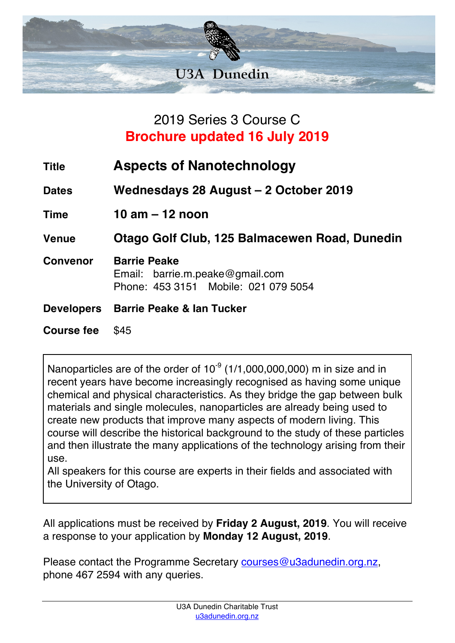

## 2019 Series 3 Course C **Brochure updated 16 July 2019**

| <b>Title</b>      | <b>Aspects of Nanotechnology</b>                                                               |
|-------------------|------------------------------------------------------------------------------------------------|
| <b>Dates</b>      | Wednesdays 28 August – 2 October 2019                                                          |
| <b>Time</b>       | 10 am $-$ 12 noon                                                                              |
| <b>Venue</b>      | Otago Golf Club, 125 Balmacewen Road, Dunedin                                                  |
| <b>Convenor</b>   | <b>Barrie Peake</b><br>Email: barrie.m.peake@gmail.com<br>Phone: 453 3151 Mobile: 021 079 5054 |
| <b>Developers</b> | <b>Barrie Peake &amp; lan Tucker</b>                                                           |
| <b>Course fee</b> | \$45                                                                                           |

Nanoparticles are of the order of  $10^{-9}$  (1/1,000,000,000) m in size and in recent years have become increasingly recognised as having some unique chemical and physical characteristics. As they bridge the gap between bulk materials and single molecules, nanoparticles are already being used to create new products that improve many aspects of modern living. This course will describe the historical background to the study of these particles and then illustrate the many applications of the technology arising from their use.

All speakers for this course are experts in their fields and associated with the University of Otago.

All applications must be received by **Friday 2 August, 2019**. You will receive a response to your application by **Monday 12 August, 2019**.

Please contact the Programme Secretary courses@u3adunedin.org.nz, phone 467 2594 with any queries.